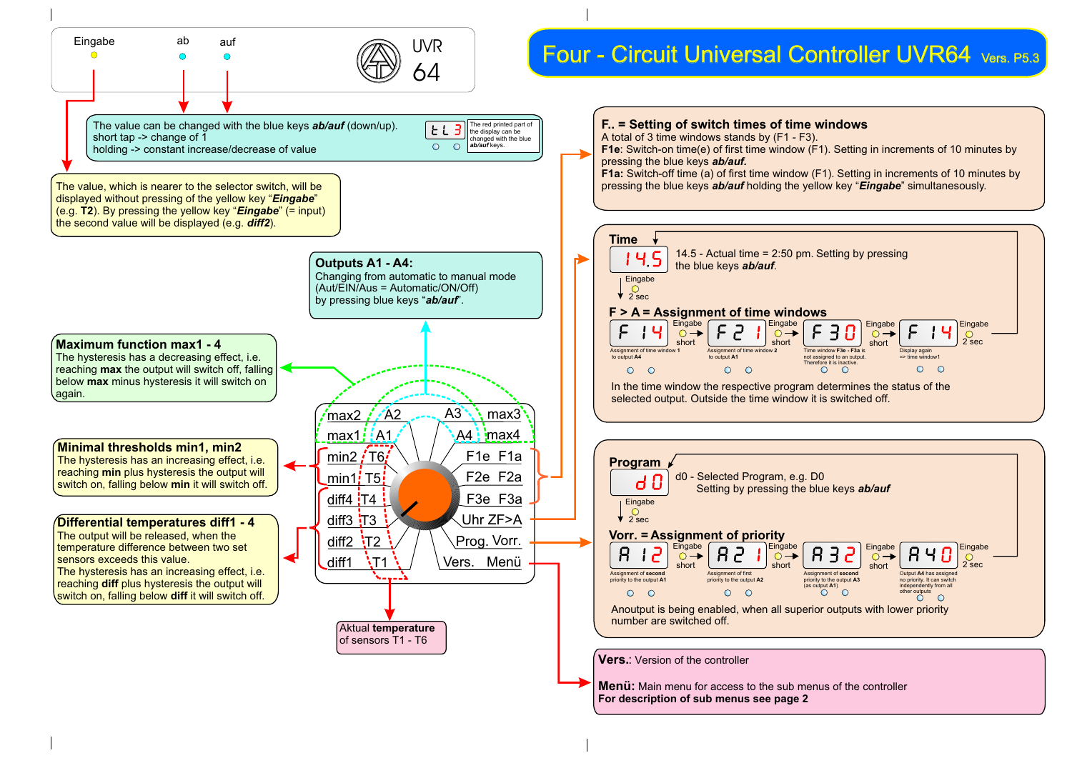